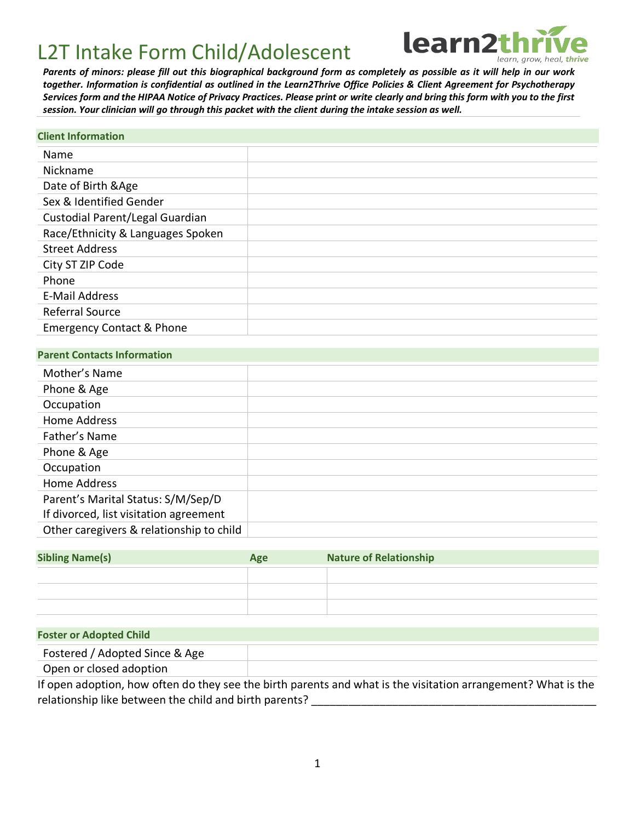

*Parents of minors: please fill out this biographical background form as completely as possible as it will help in our work together. Information is confidential as outlined in the Learn2Thrive Office Policies & Client Agreement for Psychotherapy Services form and the HIPAA Notice of Privacy Practices. Please print or write clearly and bring this form with you to the first session. Your clinician will go through this packet with the client during the intake session as well.* 

#### **Client Information**

| Name                                 |  |
|--------------------------------------|--|
| Nickname                             |  |
| Date of Birth & Age                  |  |
| Sex & Identified Gender              |  |
| Custodial Parent/Legal Guardian      |  |
| Race/Ethnicity & Languages Spoken    |  |
| <b>Street Address</b>                |  |
| City ST ZIP Code                     |  |
| Phone                                |  |
| <b>E-Mail Address</b>                |  |
| Referral Source                      |  |
| <b>Emergency Contact &amp; Phone</b> |  |

#### **Parent Contacts Information**

| Mother's Name                            |  |
|------------------------------------------|--|
| Phone & Age                              |  |
| Occupation                               |  |
| Home Address                             |  |
| Father's Name                            |  |
| Phone & Age                              |  |
| Occupation                               |  |
| <b>Home Address</b>                      |  |
| Parent's Marital Status: S/M/Sep/D       |  |
| If divorced, list visitation agreement   |  |
| Other caregivers & relationship to child |  |

| <b>Sibling Name(s)</b> | Age | <b>Nature of Relationship</b> |
|------------------------|-----|-------------------------------|
|                        |     |                               |
|                        |     |                               |
|                        |     |                               |

#### **Foster or Adopted Child**

Fostered / Adopted Since & Age

Open or closed adoption

If open adoption, how often do they see the birth parents and what is the visitation arrangement? What is the relationship like between the child and birth parents?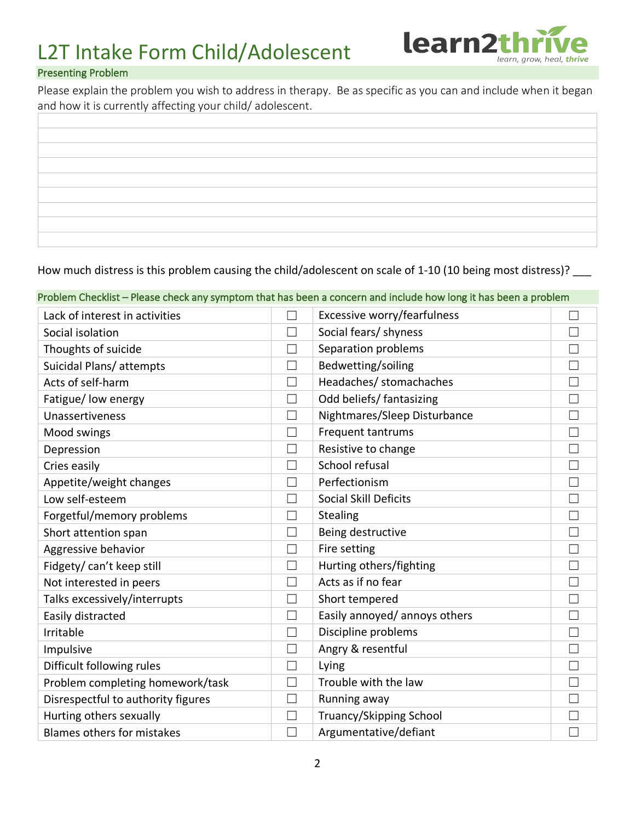

### Presenting Problem

Please explain the problem you wish to address in therapy. Be as specific as you can and include when it began and how it is currently affecting your child/ adolescent.

How much distress is this problem causing the child/adolescent on scale of 1-10 (10 being most distress)?

| Problem Checklist - Please check any symptom that has been a concern and include how long it has been a problem |              |                                |   |
|-----------------------------------------------------------------------------------------------------------------|--------------|--------------------------------|---|
| Lack of interest in activities                                                                                  | П            | Excessive worry/fearfulness    |   |
| Social isolation                                                                                                | П            | Social fears/ shyness          | П |
| Thoughts of suicide                                                                                             |              | Separation problems            |   |
| Suicidal Plans/attempts                                                                                         | $\Box$       | Bedwetting/soiling             |   |
| Acts of self-harm                                                                                               | Г            | Headaches/ stomachaches        | ┑ |
| Fatigue/ low energy                                                                                             | $\Box$       | Odd beliefs/ fantasizing       | П |
| Unassertiveness                                                                                                 | П            | Nightmares/Sleep Disturbance   | П |
| Mood swings                                                                                                     | П            | Frequent tantrums              |   |
| Depression                                                                                                      | $\Box$       | Resistive to change            |   |
| Cries easily                                                                                                    |              | School refusal                 |   |
| Appetite/weight changes                                                                                         | $\Box$       | Perfectionism                  | П |
| Low self-esteem                                                                                                 |              | <b>Social Skill Deficits</b>   |   |
| Forgetful/memory problems                                                                                       | $\Box$       | Stealing                       |   |
| Short attention span                                                                                            | Г            | Being destructive              | П |
| Aggressive behavior                                                                                             | $\Box$       | Fire setting                   | ┑ |
| Fidgety/ can't keep still                                                                                       | П            | Hurting others/fighting        | П |
| Not interested in peers                                                                                         | $\mathbf{L}$ | Acts as if no fear             |   |
| Talks excessively/interrupts                                                                                    | L.           | Short tempered                 |   |
| Easily distracted                                                                                               | Г            | Easily annoyed/ annoys others  |   |
| Irritable                                                                                                       | $\Box$       | Discipline problems            |   |
| Impulsive                                                                                                       | $\Box$       | Angry & resentful              | П |
| Difficult following rules                                                                                       | $\Box$       | Lying                          | ▁ |
| Problem completing homework/task                                                                                | $\Box$       | Trouble with the law           |   |
| Disrespectful to authority figures                                                                              | $\Box$       | Running away                   | ┑ |
| Hurting others sexually                                                                                         | $\Box$       | <b>Truancy/Skipping School</b> |   |
| <b>Blames others for mistakes</b>                                                                               | ×            | Argumentative/defiant          |   |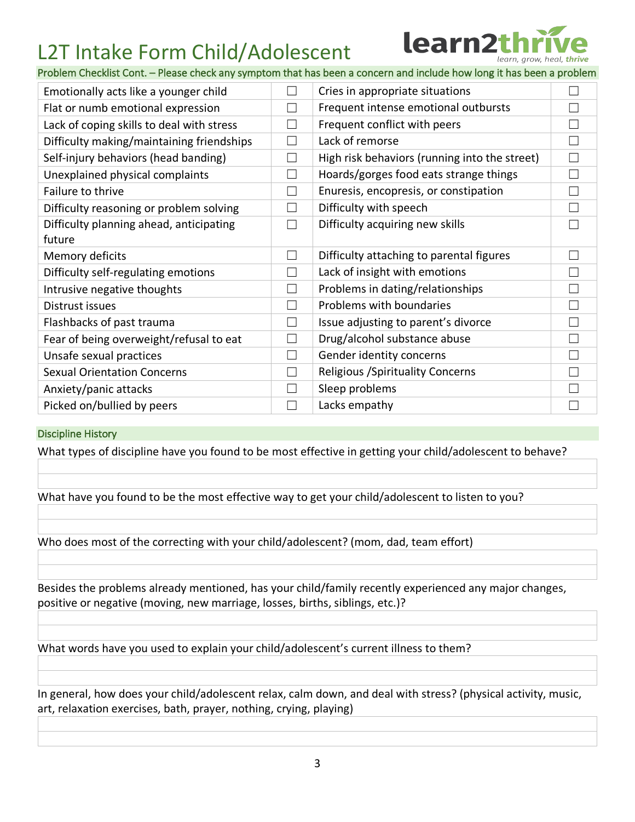

Problem Checklist Cont. – Please check any symptom that has been a concern and include how long it has been a problem

| Emotionally acts like a younger child             | $\vert \ \ \vert$ | Cries in appropriate situations               |   |
|---------------------------------------------------|-------------------|-----------------------------------------------|---|
| Flat or numb emotional expression                 |                   | Frequent intense emotional outbursts          |   |
| Lack of coping skills to deal with stress         |                   | Frequent conflict with peers                  |   |
| Difficulty making/maintaining friendships         |                   | Lack of remorse                               |   |
| Self-injury behaviors (head banding)              |                   | High risk behaviors (running into the street) | Г |
| Unexplained physical complaints                   |                   | Hoards/gorges food eats strange things        |   |
| Failure to thrive                                 | L.                | Enuresis, encopresis, or constipation         | L |
| Difficulty reasoning or problem solving           |                   | Difficulty with speech                        |   |
| Difficulty planning ahead, anticipating<br>future |                   | Difficulty acquiring new skills               |   |
| Memory deficits                                   | $\Box$            | Difficulty attaching to parental figures      |   |
| Difficulty self-regulating emotions               |                   | Lack of insight with emotions                 |   |
| Intrusive negative thoughts                       |                   | Problems in dating/relationships              |   |
| Distrust issues                                   |                   | Problems with boundaries                      |   |
| Flashbacks of past trauma                         | $\vert \ \ \vert$ | Issue adjusting to parent's divorce           |   |
| Fear of being overweight/refusal to eat           | $\Box$            | Drug/alcohol substance abuse                  |   |
| Unsafe sexual practices                           | $\vert \ \ \vert$ | Gender identity concerns                      |   |
| <b>Sexual Orientation Concerns</b>                |                   | <b>Religious / Spirituality Concerns</b>      |   |
| Anxiety/panic attacks                             |                   | Sleep problems                                |   |
| Picked on/bullied by peers                        |                   | Lacks empathy                                 |   |

#### Discipline History

What types of discipline have you found to be most effective in getting your child/adolescent to behave?

What have you found to be the most effective way to get your child/adolescent to listen to you?

Who does most of the correcting with your child/adolescent? (mom, dad, team effort)

Besides the problems already mentioned, has your child/family recently experienced any major changes, positive or negative (moving, new marriage, losses, births, siblings, etc.)?

What words have you used to explain your child/adolescent's current illness to them?

In general, how does your child/adolescent relax, calm down, and deal with stress? (physical activity, music, art, relaxation exercises, bath, prayer, nothing, crying, playing)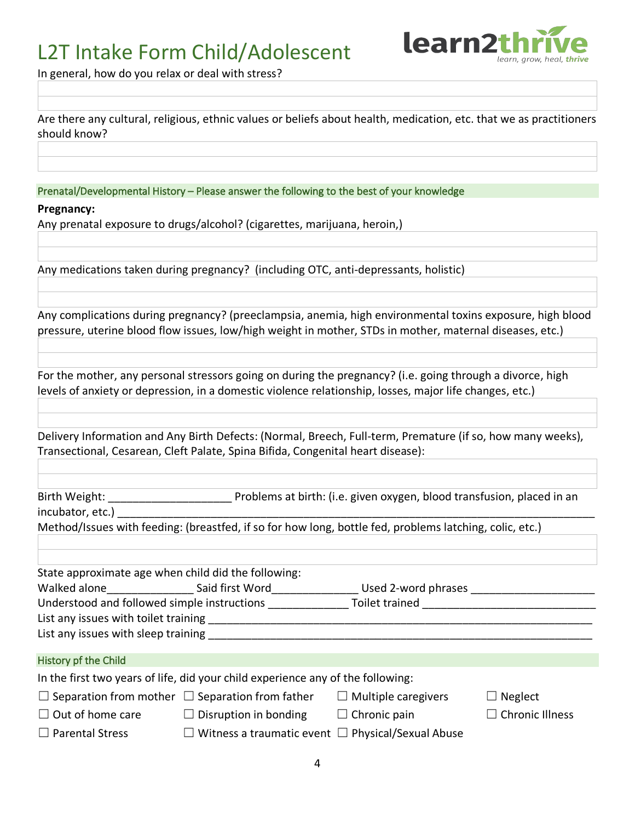

In general, how do you relax or deal with stress?

Are there any cultural, religious, ethnic values or beliefs about health, medication, etc. that we as practitioners should know?

Prenatal/Developmental History – Please answer the following to the best of your knowledge

**Pregnancy:**

Any prenatal exposure to drugs/alcohol? (cigarettes, marijuana, heroin,)

Any medications taken during pregnancy? (including OTC, anti-depressants, holistic)

Any complications during pregnancy? (preeclampsia, anemia, high environmental toxins exposure, high blood pressure, uterine blood flow issues, low/high weight in mother, STDs in mother, maternal diseases, etc.)

For the mother, any personal stressors going on during the pregnancy? (i.e. going through a divorce, high levels of anxiety or depression, in a domestic violence relationship, losses, major life changes, etc.)

Delivery Information and Any Birth Defects: (Normal, Breech, Full-term, Premature (if so, how many weeks), Transectional, Cesarean, Cleft Palate, Spina Bifida, Congenital heart disease):

| incubator, etc.)                                    |                                                                                                                |                            |                        |  |  |  |
|-----------------------------------------------------|----------------------------------------------------------------------------------------------------------------|----------------------------|------------------------|--|--|--|
|                                                     | Method/Issues with feeding: (breastfed, if so for how long, bottle fed, problems latching, colic, etc.)        |                            |                        |  |  |  |
|                                                     |                                                                                                                |                            |                        |  |  |  |
| State approximate age when child did the following: |                                                                                                                |                            |                        |  |  |  |
|                                                     |                                                                                                                |                            |                        |  |  |  |
|                                                     | Understood and followed simple instructions ____________________Toilet trained _______________________________ |                            |                        |  |  |  |
|                                                     |                                                                                                                |                            |                        |  |  |  |
|                                                     |                                                                                                                |                            |                        |  |  |  |
|                                                     |                                                                                                                |                            |                        |  |  |  |
| History pf the Child                                |                                                                                                                |                            |                        |  |  |  |
|                                                     | In the first two years of life, did your child experience any of the following:                                |                            |                        |  |  |  |
|                                                     | $\Box$ Separation from mother $\Box$ Separation from father                                                    | $\Box$ Multiple caregivers | Neglect                |  |  |  |
|                                                     | $\Box$ Out of home care $\Box$ Disruption in bonding $\Box$ Chronic pain                                       |                            | $\Box$ Chronic Illness |  |  |  |
| $\Box$ Parental Stress                              | $\Box$ Witness a traumatic event $\Box$ Physical/Sexual Abuse                                                  |                            |                        |  |  |  |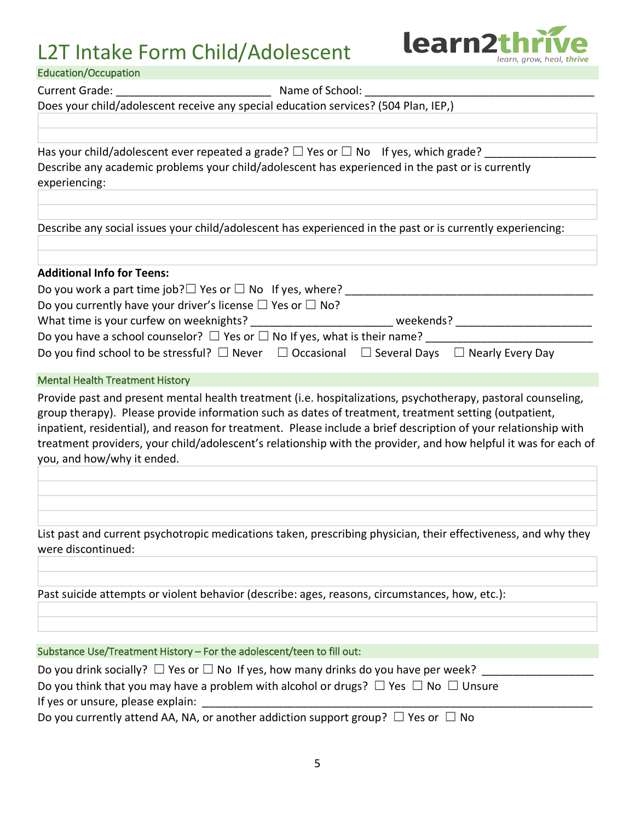

| <b>Education/Occupation</b>                                                                                                                                                                                                                                                                                                                                                                                                                                                               |  |  |  |  |
|-------------------------------------------------------------------------------------------------------------------------------------------------------------------------------------------------------------------------------------------------------------------------------------------------------------------------------------------------------------------------------------------------------------------------------------------------------------------------------------------|--|--|--|--|
| <b>Current Grade:</b><br>Name of School:                                                                                                                                                                                                                                                                                                                                                                                                                                                  |  |  |  |  |
| Does your child/adolescent receive any special education services? (504 Plan, IEP,)                                                                                                                                                                                                                                                                                                                                                                                                       |  |  |  |  |
|                                                                                                                                                                                                                                                                                                                                                                                                                                                                                           |  |  |  |  |
| Has your child/adolescent ever repeated a grade? $\square$ Yes or $\square$ No If yes, which grade?                                                                                                                                                                                                                                                                                                                                                                                       |  |  |  |  |
| Describe any academic problems your child/adolescent has experienced in the past or is currently<br>experiencing:                                                                                                                                                                                                                                                                                                                                                                         |  |  |  |  |
|                                                                                                                                                                                                                                                                                                                                                                                                                                                                                           |  |  |  |  |
| Describe any social issues your child/adolescent has experienced in the past or is currently experiencing:                                                                                                                                                                                                                                                                                                                                                                                |  |  |  |  |
| <b>Additional Info for Teens:</b>                                                                                                                                                                                                                                                                                                                                                                                                                                                         |  |  |  |  |
| Do you work a part time job? $\Box$ Yes or $\Box$ No If yes, where?                                                                                                                                                                                                                                                                                                                                                                                                                       |  |  |  |  |
| Do you currently have your driver's license $\Box$ Yes or $\Box$ No?                                                                                                                                                                                                                                                                                                                                                                                                                      |  |  |  |  |
| What time is your curfew on weeknights? ____________________________ weekends? _____________________                                                                                                                                                                                                                                                                                                                                                                                      |  |  |  |  |
| Do you have a school counselor? $\Box$ Yes or $\Box$ No If yes, what is their name? ________<br>Do you find school to be stressful? $\Box$ Never $\Box$ Occasional $\Box$ Several Days $\Box$ Nearly Every Day                                                                                                                                                                                                                                                                            |  |  |  |  |
| <b>Mental Health Treatment History</b>                                                                                                                                                                                                                                                                                                                                                                                                                                                    |  |  |  |  |
| Provide past and present mental health treatment (i.e. hospitalizations, psychotherapy, pastoral counseling,<br>group therapy). Please provide information such as dates of treatment, treatment setting (outpatient,<br>inpatient, residential), and reason for treatment. Please include a brief description of your relationship with<br>treatment providers, your child/adolescent's relationship with the provider, and how helpful it was for each of<br>you, and how/why it ended. |  |  |  |  |
|                                                                                                                                                                                                                                                                                                                                                                                                                                                                                           |  |  |  |  |
| List past and current psychotropic medications taken, prescribing physician, their effectiveness, and why they<br>were discontinued:                                                                                                                                                                                                                                                                                                                                                      |  |  |  |  |
| Past suicide attempts or violent behavior (describe: ages, reasons, circumstances, how, etc.):                                                                                                                                                                                                                                                                                                                                                                                            |  |  |  |  |
|                                                                                                                                                                                                                                                                                                                                                                                                                                                                                           |  |  |  |  |
| Substance Use/Treatment History - For the adolescent/teen to fill out:                                                                                                                                                                                                                                                                                                                                                                                                                    |  |  |  |  |
| Do you drink socially? $\Box$ Yes or $\Box$ No If yes, how many drinks do you have per week?                                                                                                                                                                                                                                                                                                                                                                                              |  |  |  |  |
| Do you think that you may have a problem with alcohol or drugs? $\Box$ Yes $\Box$ No $\Box$ Unsure<br>If yes or unsure, please explain:                                                                                                                                                                                                                                                                                                                                                   |  |  |  |  |

Do you currently attend AA, NA, or another addiction support group?  $\Box$  Yes or  $\Box$  No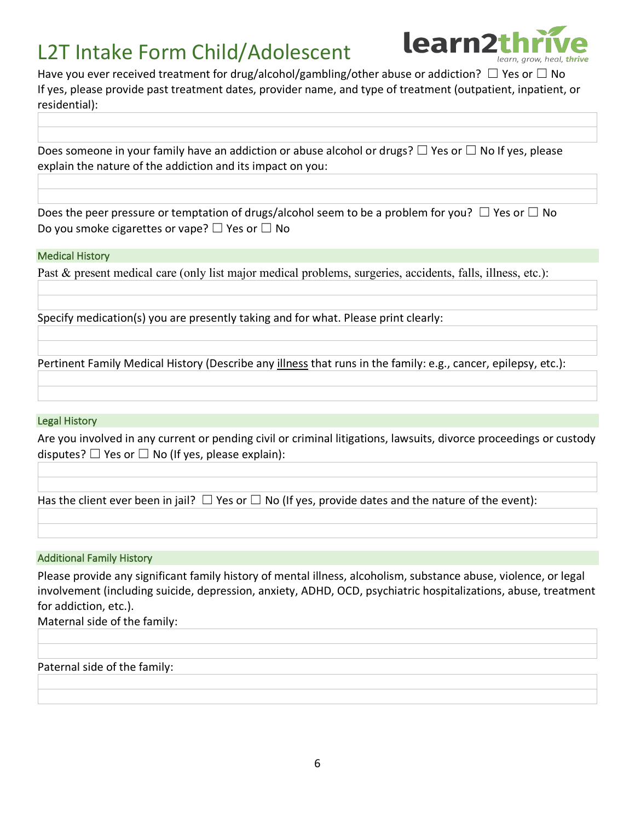

Have you ever received treatment for drug/alcohol/gambling/other abuse or addiction?  $\Box$  Yes or  $\Box$  No If yes, please provide past treatment dates, provider name, and type of treatment (outpatient, inpatient, or residential):

Does someone in your family have an addiction or abuse alcohol or drugs?  $\Box$  Yes or  $\Box$  No If yes, please explain the nature of the addiction and its impact on you:

Does the peer pressure or temptation of drugs/alcohol seem to be a problem for you?  $\Box$  Yes or  $\Box$  No Do you smoke cigarettes or vape?  $\Box$  Yes or  $\Box$  No

### Medical History

Past & present medical care (only list major medical problems, surgeries, accidents, falls, illness, etc.):

Specify medication(s) you are presently taking and for what. Please print clearly:

Pertinent Family Medical History (Describe any illness that runs in the family: e.g., cancer, epilepsy, etc.):

#### Legal History

Are you involved in any current or pending civil or criminal litigations, lawsuits, divorce proceedings or custody disputes?  $\Box$  Yes or  $\Box$  No (If yes, please explain):

Has the client ever been in jail?  $\Box$  Yes or  $\Box$  No (If yes, provide dates and the nature of the event):

#### Additional Family History

Please provide any significant family history of mental illness, alcoholism, substance abuse, violence, or legal involvement (including suicide, depression, anxiety, ADHD, OCD, psychiatric hospitalizations, abuse, treatment for addiction, etc.).

Maternal side of the family:

Paternal side of the family: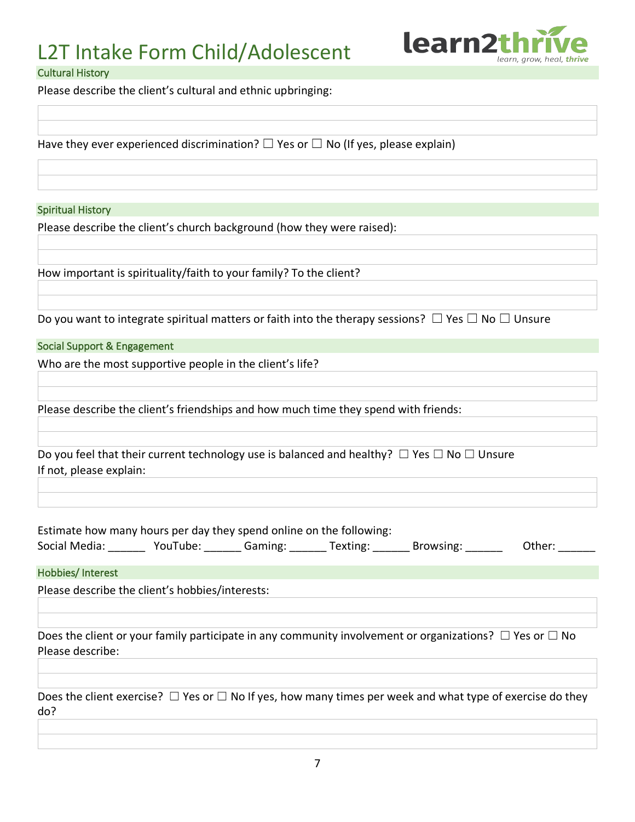

#### Cultural History

Please describe the client's cultural and ethnic upbringing:

Have they ever experienced discrimination?  $\square$  Yes or  $\square$  No (If yes, please explain)

#### Spiritual History

Please describe the client's church background (how they were raised):

How important is spirituality/faith to your family? To the client?

Do you want to integrate spiritual matters or faith into the therapy sessions?  $\Box$  Yes  $\Box$  No  $\Box$  Unsure

#### Social Support & Engagement

Who are the most supportive people in the client's life?

Please describe the client's friendships and how much time they spend with friends:

| Do you feel that their current technology use is balanced and healthy? $\square$ Yes $\square$ No $\square$ Unsure |  |
|--------------------------------------------------------------------------------------------------------------------|--|
| If not, please explain:                                                                                            |  |

| Estimate how many hours per day they spend online on the following: |          |         |          |           |        |
|---------------------------------------------------------------------|----------|---------|----------|-----------|--------|
| Social Media:                                                       | YouTube: | Gaming: | Texting: | Browsing: | Other: |

Hobbies/ Interest

Please describe the client's hobbies/interests:

Does the client or your family participate in any community involvement or organizations?  $\Box$  Yes or  $\Box$  No Please describe:

Does the client exercise?  $\Box$  Yes or  $\Box$  No If yes, how many times per week and what type of exercise do they do?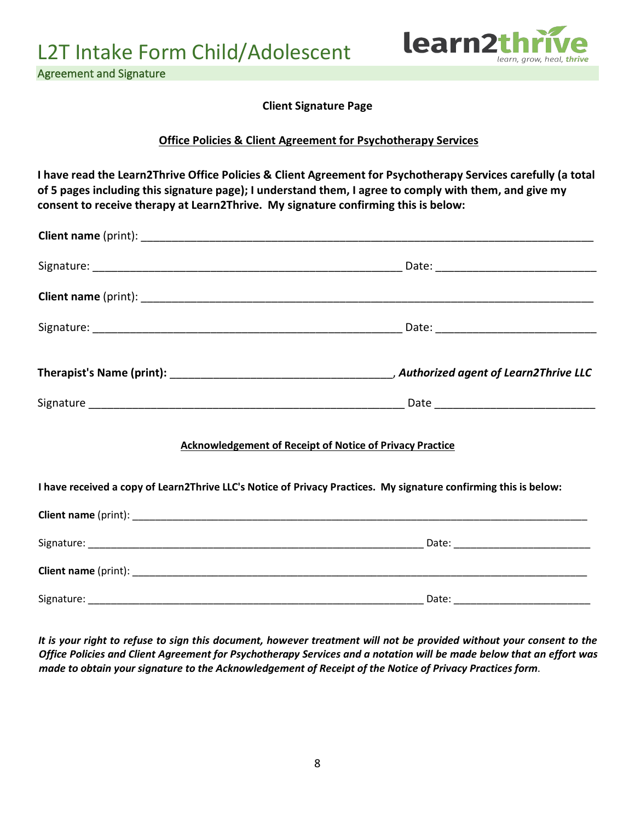

Agreement and Signature

**Client Signature Page**

### **Office Policies & Client Agreement for Psychotherapy Services**

**I have read the Learn2Thrive Office Policies & Client Agreement for Psychotherapy Services carefully (a total of 5 pages including this signature page); I understand them, I agree to comply with them, and give my consent to receive therapy at Learn2Thrive. My signature confirming this is below:**

|                                                                                                                  | <b>Acknowledgement of Receipt of Notice of Privacy Practice</b> |  |  |  |
|------------------------------------------------------------------------------------------------------------------|-----------------------------------------------------------------|--|--|--|
| I have received a copy of Learn2Thrive LLC's Notice of Privacy Practices. My signature confirming this is below: |                                                                 |  |  |  |
|                                                                                                                  |                                                                 |  |  |  |
|                                                                                                                  |                                                                 |  |  |  |
|                                                                                                                  |                                                                 |  |  |  |

Signature: \_\_\_\_\_\_\_\_\_\_\_\_\_\_\_\_\_\_\_\_\_\_\_\_\_\_\_\_\_\_\_\_\_\_\_\_\_\_\_\_\_\_\_\_\_\_\_\_\_\_\_\_\_\_\_\_\_\_\_ Date: \_\_\_\_\_\_\_\_\_\_\_\_\_\_\_\_\_\_\_\_\_\_\_\_

*It is your right to refuse to sign this document, however treatment will not be provided without your consent to the Office Policies and Client Agreement for Psychotherapy Services and a notation will be made below that an effort was made to obtain your signature to the Acknowledgement of Receipt of the Notice of Privacy Practices form*.